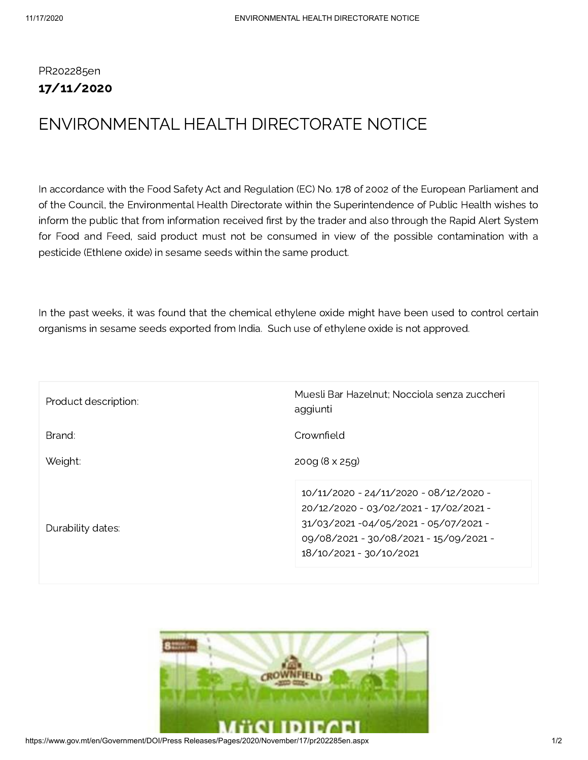## PR202285en 17/11/2020

## ENVIRONMENTAL HEALTH DIRECTORATE NOTICE

In accordance with the Food Safety Act and Regulation (EC) No. 178 of 2002 of the European Parliament and of the Council, the Environmental Health Directorate within the Superintendence of Public Health wishes to inform the public that from information received first by the trader and also through the Rapid Alert System for Food and Feed, said product must not be consumed in view of the possible contamination with a pesticide (Ethlene oxide) in sesame seeds within the same product.

In the past weeks, it was found that the chemical ethylene oxide might have been used to control certain organisms in sesame seeds exported from India. Such use of ethylene oxide is not approved.

| Product description: | Muesli Bar Hazelnut; Nocciola senza zuccheri<br>aggiunti                                                                                                                                   |
|----------------------|--------------------------------------------------------------------------------------------------------------------------------------------------------------------------------------------|
| Brand:               | Crownfield                                                                                                                                                                                 |
| Weight:              | $200q (8 \times 25q)$                                                                                                                                                                      |
| Durability dates:    | 10/11/2020 - 24/11/2020 - 08/12/2020 -<br>20/12/2020 - 03/02/2021 - 17/02/2021 -<br>31/03/2021-04/05/2021-05/07/2021-<br>09/08/2021 - 30/08/2021 - 15/09/2021 -<br>18/10/2021 - 30/10/2021 |